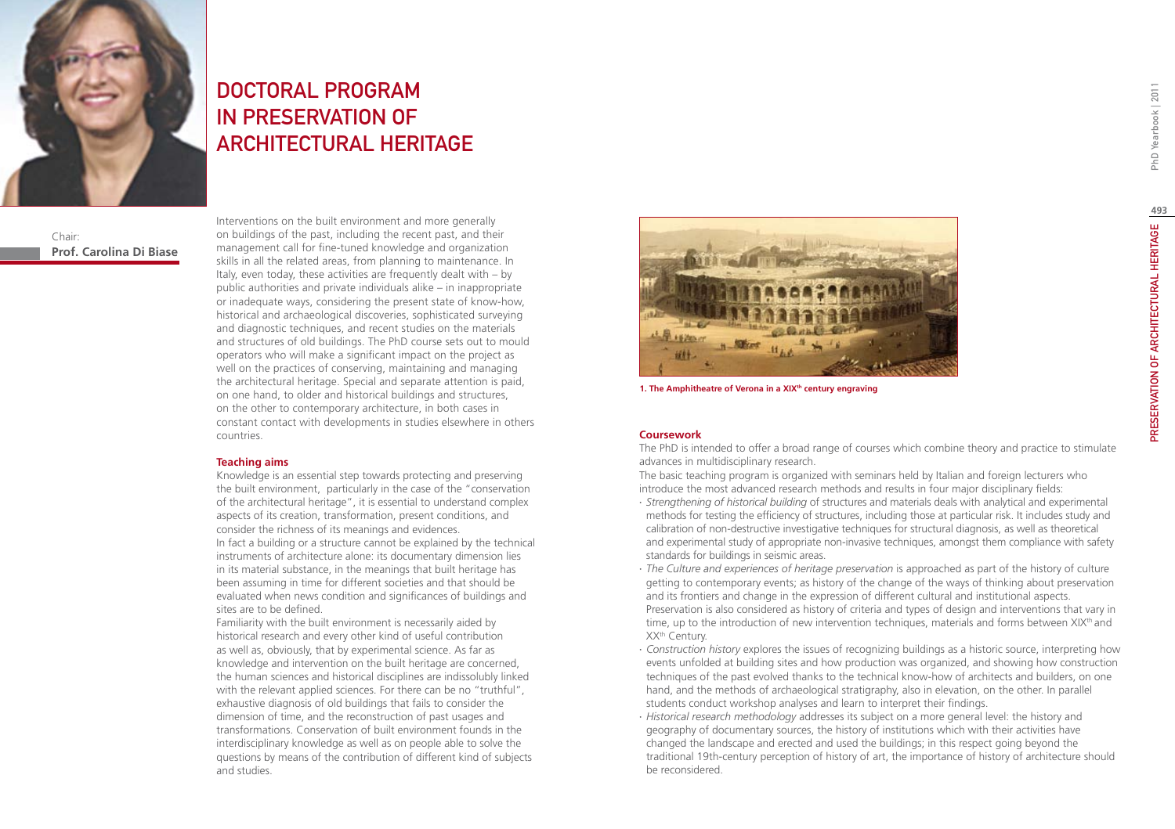

# DOCTORAL PROGRAM IN PRESERVATION OF ARCHITECTURAL HERITAGE

Chair: **Prof. Carolina Di Biase** Interventions on the built environment and more generally on buildings of the past, including the recent past, and their management call for fine-tuned knowledge and organization skills in all the related areas, from planning to maintenance. In Italy, even today, these activities are frequently dealt with – by public authorities and private individuals alike – in inappropriate or inadequate ways, considering the present state of know-how, historical and archaeological discoveries, sophisticated surveying and diagnostic techniques, and recent studies on the materials and structures of old buildings. The PhD course sets out to mould operators who will make a significant impact on the project as well on the practices of conserving, maintaining and managing the architectural heritage. Special and separate attention is paid, on one hand, to older and historical buildings and structures, on the other to contemporary architecture, in both cases in constant contact with developments in studies elsewhere in others countries.

#### **Teaching aims**

Knowledge is an essential step towards protecting and preserving the built environment, particularly in the case of the "conservation of the architectural heritage", it is essential to understand complex aspects of its creation, transformation, present conditions, and consider the richness of its meanings and evidences.

In fact a building or a structure cannot be explained by the technical instruments of architecture alone: its documentary dimension lies in its material substance, in the meanings that built heritage has been assuming in time for different societies and that should be evaluated when news condition and significances of buildings and sites are to be defined.

Familiarity with the built environment is necessarily aided by historical research and every other kind of useful contribution as well as, obviously, that by experimental science. As far as knowledge and intervention on the built heritage are concerned, the human sciences and historical disciplines are indissolubly linked with the relevant applied sciences. For there can be no "truthful", exhaustive diagnosis of old buildings that fails to consider the dimension of time, and the reconstruction of past usages and transformations. Conservation of built environment founds in the interdisciplinary knowledge as well as on people able to solve the questions by means of the contribution of different kind of subjects and studies.



1. The Amphitheatre of Verona in a XIX<sup>th</sup> century engraving

## **Coursework**

The PhD is intended to offer a broad range of courses which combine theory and practice to stimulate advances in multidisciplinary research.

The basic teaching program is organized with seminars held by Italian and foreign lecturers who introduce the most advanced research methods and results in four major disciplinary fields:

- ∙ *Strengthening of historical building* of structures and materials deals with analytical and experimental methods for testing the efficiency of structures, including those at particular risk. It includes study and calibration of non-destructive investigative techniques for structural diagnosis, as well as theoretical and experimental study of appropriate non-invasive techniques, amongst them compliance with safety standards for buildings in seismic areas.
- ∙ *The Culture and experiences of heritage preservation* is approached as part of the history of culture getting to contemporary events; as history of the change of the ways of thinking about preservation and its frontiers and change in the expression of different cultural and institutional aspects. Preservation is also considered as history of criteria and types of design and interventions that vary in time, up to the introduction of new intervention techniques, materials and forms between XIX<sup>th</sup> and XXth Century.
- ∙ *Construction history* explores the issues of recognizing buildings as a historic source, interpreting how events unfolded at building sites and how production was organized, and showing how construction techniques of the past evolved thanks to the technical know-how of architects and builders, on one hand, and the methods of archaeological stratigraphy, also in elevation, on the other. In parallel students conduct workshop analyses and learn to interpret their findings.
- ∙ *Historical research methodology* addresses its subject on a more general level: the history and geography of documentary sources, the history of institutions which with their activities have changed the landscape and erected and used the buildings; in this respect going beyond the traditional 19th-century perception of history of art, the importance of history of architecture should be reconsidered.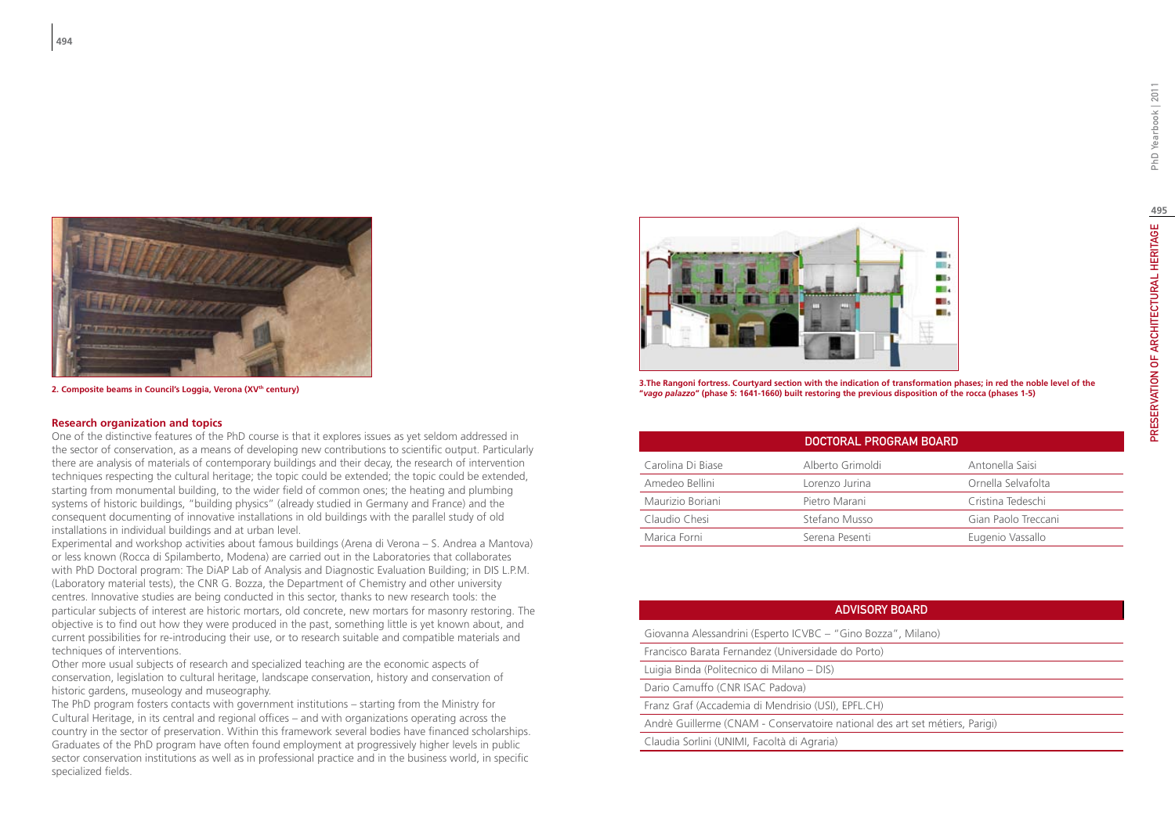

2. Composite beams in Council's Loggia, Verona (XV<sup>th</sup> century)

#### **Research organization and topics**

One of the distinctive features of the PhD course is that it explores issues as yet seldom addressed in the sector of conservation, as a means of developing new contributions to scientific output. Particularly there are analysis of materials of contemporary buildings and their decay, the research of intervention techniques respecting the cultural heritage; the topic could be extended; the topic could be extended, starting from monumental building, to the wider field of common ones; the heating and plumbing systems of historic buildings, "building physics" (already studied in Germany and France) and the consequent documenting of innovative installations in old buildings with the parallel study of old installations in individual buildings and at urban level.

Experimental and workshop activities about famous buildings (Arena di Verona – S. Andrea a Mantova) or less known (Rocca di Spilamberto, Modena) are carried out in the Laboratories that collaborates with PhD Doctoral program: The DiAP Lab of Analysis and Diagnostic Evaluation Building; in DIS L.P.M. (Laboratory material tests), the CNR G. Bozza, the Department of Chemistry and other university centres. Innovative studies are being conducted in this sector, thanks to new research tools: the particular subjects of interest are historic mortars, old concrete, new mortars for masonry restoring. The objective is to find out how they were produced in the past, something little is yet known about, and current possibilities for re-introducing their use, or to research suitable and compatible materials and techniques of interventions.

Other more usual subjects of research and specialized teaching are the economic aspects of conservation, legislation to cultural heritage, landscape conservation, history and conservation of historic gardens, museology and museography.

The PhD program fosters contacts with government institutions – starting from the Ministry for Cultural Heritage, in its central and regional offices – and with organizations operating across the country in the sector of preservation. Within this framework several bodies have financed scholarships. Graduates of the PhD program have often found employment at progressively higher levels in public sector conservation institutions as well as in professional practice and in the business world, in specific specialized fields.



**3.The Rangoni fortress. Courtyard section with the indication of transformation phases; in red the noble level of the "***vago palazzo***" (phase 5: 1641-1660) built restoring the previous disposition of the rocca (phases 1-5)**

| DOCTORAL PROGRAM BOARD |                  |                     |
|------------------------|------------------|---------------------|
| Carolina Di Biase      | Alberto Grimoldi | Antonella Saisi     |
| Amedeo Bellini         | Lorenzo Jurina   | Ornella Selvafolta  |
| Maurizio Boriani       | Pietro Marani    | Cristina Tedeschi   |
| Claudio Chesi          | Stefano Musso    | Gian Paolo Treccani |
| Marica Forni           | Serena Pesenti   | Eugenio Vassallo    |

### ADVISORY Board

Giovanna Alessandrini (Esperto ICVBC – "Gino Bozza", Milano)

Francisco Barata Fernandez (Universidade do Porto) Luigia Binda (Politecnico di Milano – DIS)

Dario Camuffo (CNR ISAC Padova)

Franz Graf (Accademia di Mendrisio (USI), EPFL.CH)

Andrè Guillerme (CNAM - Conservatoire national des art set métiers, Parigi)

Claudia Sorlini (UNIMI, Facoltà di Agraria)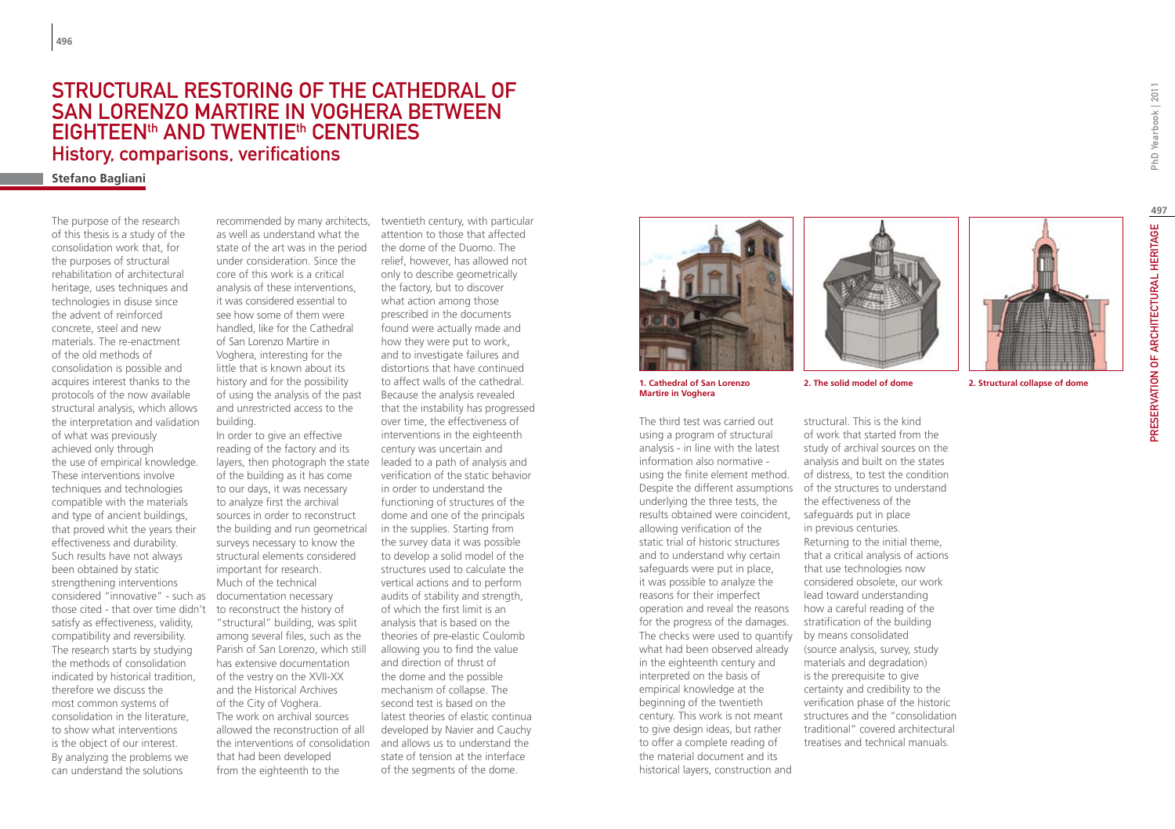## Structural restoring of the Cathedral of San Lorenzo Martire in Voghera between eighteenth and twentieth centuries History, comparisons, verifications

## **Stefano Bagliani**

The purpose of the research of this thesis is a study of the consolidation work that, for the purposes of structural rehabilitation of architectural heritage, uses techniques and technologies in disuse since the advent of reinforced concrete, steel and new materials. The re-enactment of the old methods of consolidation is possible and acquires interest thanks to the protocols of the now available structural analysis, which allows the interpretation and validation of what was previously achieved only through the use of empirical knowledge. These interventions involve techniques and technologies compatible with the materials and type of ancient buildings, that proved whit the years their effectiveness and durability. Such results have not always been obtained by static strengthening interventions considered "innovative" - such as those cited - that over time didn't satisfy as effectiveness, validity, compatibility and reversibility. The research starts by studying the methods of consolidation indicated by historical tradition, therefore we discuss the most common systems of consolidation in the literature, to show what interventions is the object of our interest. By analyzing the problems we can understand the solutions

as well as understand what the state of the art was in the period under consideration. Since the core of this work is a critical analysis of these interventions, it was considered essential to see how some of them were handled, like for the Cathedral of San Lorenzo Martire in Voghera, interesting for the little that is known about its history and for the possibility of using the analysis of the past and unrestricted access to the building.

In order to give an effective reading of the factory and its layers, then photograph the state of the building as it has come to our days, it was necessary to analyze first the archival sources in order to reconstruct the building and run geometrical surveys necessary to know the structural elements considered important for research. Much of the technical documentation necessary to reconstruct the history of "structural" building, was split among several files, such as the Parish of San Lorenzo, which still has extensive documentation of the vestry on the XVII-XX and the Historical Archives of the City of Voghera. The work on archival sources allowed the reconstruction of all the interventions of consolidation and allows us to understand the that had been developed from the eighteenth to the

recommended by many architects, twentieth century, with particular attention to those that affected the dome of the Duomo. The relief, however, has allowed not only to describe geometrically the factory, but to discover what action among those prescribed in the documents found were actually made and how they were put to work, and to investigate failures and distortions that have continued to affect walls of the cathedral. Because the analysis revealed that the instability has progressed over time, the effectiveness of interventions in the eighteenth century was uncertain and leaded to a path of analysis and verification of the static behavior in order to understand the functioning of structures of the dome and one of the principals in the supplies. Starting from the survey data it was possible to develop a solid model of the structures used to calculate the vertical actions and to perform audits of stability and strength, of which the first limit is an analysis that is based on the theories of pre-elastic Coulomb allowing you to find the value and direction of thrust of the dome and the possible mechanism of collapse. The second test is based on the latest theories of elastic continua developed by Navier and Cauchy state of tension at the interface of the segments of the dome.





The third test was carried out using a program of structural analysis - in line with the latest information also normative using the finite element method. Despite the different assumptions of the structures to understand underlying the three tests, the results obtained were coincident, safeguards put in place allowing verification of the static trial of historic structures and to understand why certain safeguards were put in place, it was possible to analyze the reasons for their imperfect operation and reveal the reasons for the progress of the damages. The checks were used to quantify by means consolidated what had been observed already in the eighteenth century and interpreted on the basis of empirical knowledge at the beginning of the twentieth century. This work is not meant to give design ideas, but rather to offer a complete reading of the material document and its historical layers, construction and





**2. The solid model of dome 2. Structural collapse of dome**

structural. This is the kind of work that started from the study of archival sources on the analysis and built on the states of distress, to test the condition the effectiveness of the in previous centuries. Returning to the initial theme, that a critical analysis of actions that use technologies now considered obsolete, our work lead toward understanding how a careful reading of the stratification of the building (source analysis, survey, study materials and degradation) is the prerequisite to give certainty and credibility to the verification phase of the historic structures and the "consolidation traditional" covered architectural treatises and technical manuals.

**497**

PhD Yearbook | 2011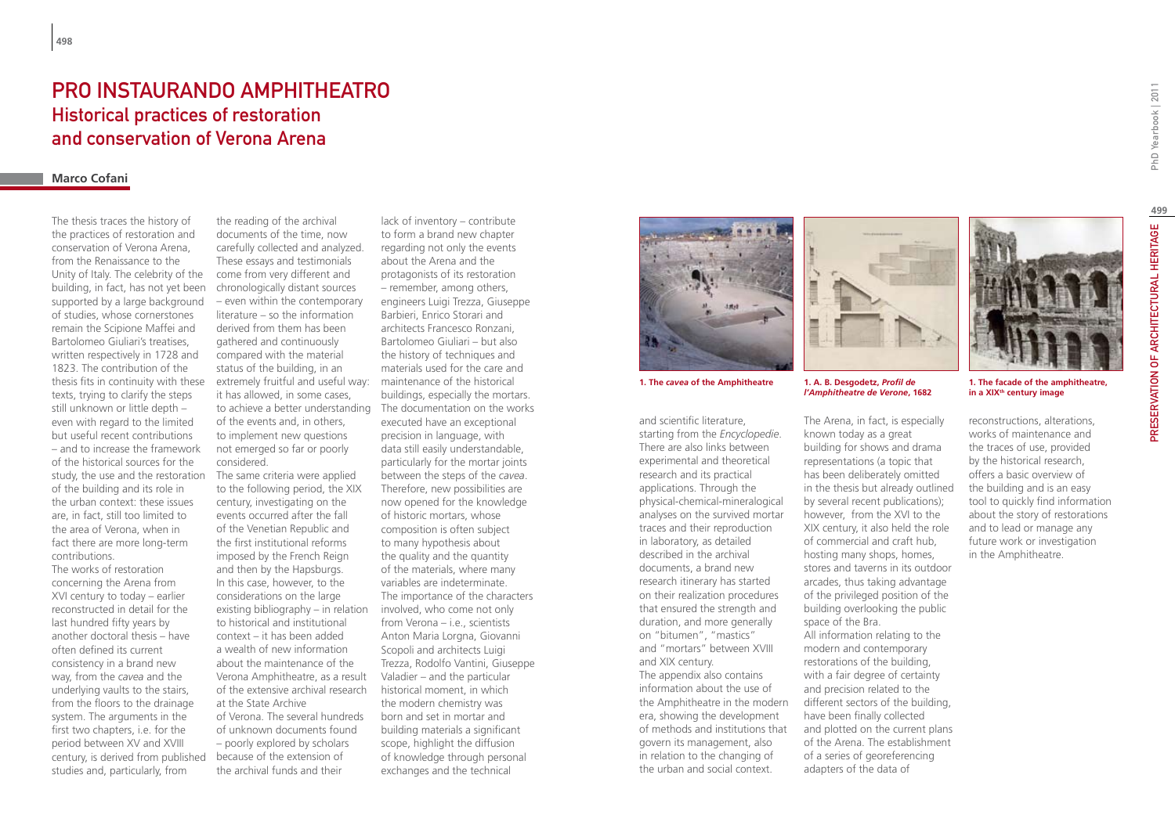## PRO INSTAURANDO AMPHITHEATRO Historical practices of restoration and conservation of Verona Arena

## **Marco Cofani**

The thesis traces the history of the practices of restoration and conservation of Verona Arena, from the Renaissance to the Unity of Italy. The celebrity of the building, in fact, has not yet been supported by a large background of studies, whose cornerstones remain the Scipione Maffei and Bartolomeo Giuliari's treatises, written respectively in 1728 and 1823. The contribution of the thesis fits in continuity with these texts, trying to clarify the steps still unknown or little depth – even with regard to the limited but useful recent contributions – and to increase the framework of the historical sources for the study, the use and the restoration of the building and its role in the urban context: these issues are, in fact, still too limited to the area of Verona, when in fact there are more long-term contributions.

century, is derived from published because of the extension of The works of restoration concerning the Arena from XVI century to today – earlier reconstructed in detail for the last hundred fifty years by another doctoral thesis – have often defined its current consistency in a brand new way, from the *cavea* and the underlying vaults to the stairs, from the floors to the drainage system. The arguments in the first two chapters, i.e. for the period between XV and XVIII studies and, particularly, from

the reading of the archival documents of the time, now carefully collected and analyzed. These essays and testimonials come from very different and chronologically distant sources – even within the contemporary literature – so the information derived from them has been gathered and continuously compared with the material status of the building, in an extremely fruitful and useful way: it has allowed, in some cases, to achieve a better understanding of the events and, in others, to implement new questions not emerged so far or poorly considered.

The same criteria were applied to the following period, the XIX century, investigating on the events occurred after the fall of the Venetian Republic and the first institutional reforms imposed by the French Reign and then by the Hapsburgs. In this case, however, to the considerations on the large existing bibliography – in relation to historical and institutional context – it has been added a wealth of new information about the maintenance of the Verona Amphitheatre, as a result of the extensive archival research at the State Archive of Verona. The several hundreds of unknown documents found – poorly explored by scholars the archival funds and their

lack of inventory – contribute to form a brand new chapter regarding not only the events about the Arena and the protagonists of its restoration – remember, among others, engineers Luigi Trezza, Giuseppe Barbieri, Enrico Storari and architects Francesco Ronzani, Bartolomeo Giuliari – but also the history of techniques and materials used for the care and maintenance of the historical buildings, especially the mortars. The documentation on the works executed have an exceptional precision in language, with data still easily understandable, particularly for the mortar joints between the steps of the *cavea*. Therefore, new possibilities are now opened for the knowledge of historic mortars, whose composition is often subject to many hypothesis about the quality and the quantity of the materials, where many variables are indeterminate. The importance of the characters involved, who come not only from Verona – i.e., scientists Anton Maria Lorgna, Giovanni Scopoli and architects Luigi Trezza, Rodolfo Vantini, Giuseppe Valadier – and the particular historical moment, in which the modern chemistry was born and set in mortar and building materials a significant scope, highlight the diffusion of knowledge through personal exchanges and the technical



and scientific literature, starting from the *Encyclopedie*. There are also links between experimental and theoretical research and its practical applications. Through the physical-chemical-mineralogical analyses on the survived mortar traces and their reproduction in laboratory, as detailed described in the archival documents, a brand new research itinerary has started on their realization procedures that ensured the strength and duration, and more generally on "bitumen", "mastics" and "mortars" between XVIII and XIX century. The appendix also contains information about the use of the Amphitheatre in the modern era, showing the development of methods and institutions that govern its management, also in relation to the changing of the urban and social context.



**1. A. B. Desgodetz,** *Profil de l'Amphitheatre de Verone***, 1682**

The Arena, in fact, is especially known today as a great building for shows and drama representations (a topic that has been deliberately omitted in the thesis but already outlined by several recent publications); however, from the XVI to the XIX century, it also held the role of commercial and craft hub, hosting many shops, homes, stores and taverns in its outdoor arcades, thus taking advantage of the privileged position of the building overlooking the public space of the Bra. All information relating to the modern and contemporary restorations of the building, with a fair degree of certainty and precision related to the different sectors of the building, have been finally collected and plotted on the current plans of the Arena. The establishment of a series of georeferencing adapters of the data of

PhD Yearbook | 2011

reconstructions, alterations, works of maintenance and the traces of use, provided by the historical research, offers a basic overview of the building and is an easy tool to quickly find information about the story of restorations and to lead or manage any future work or investigation in the Amphitheatre.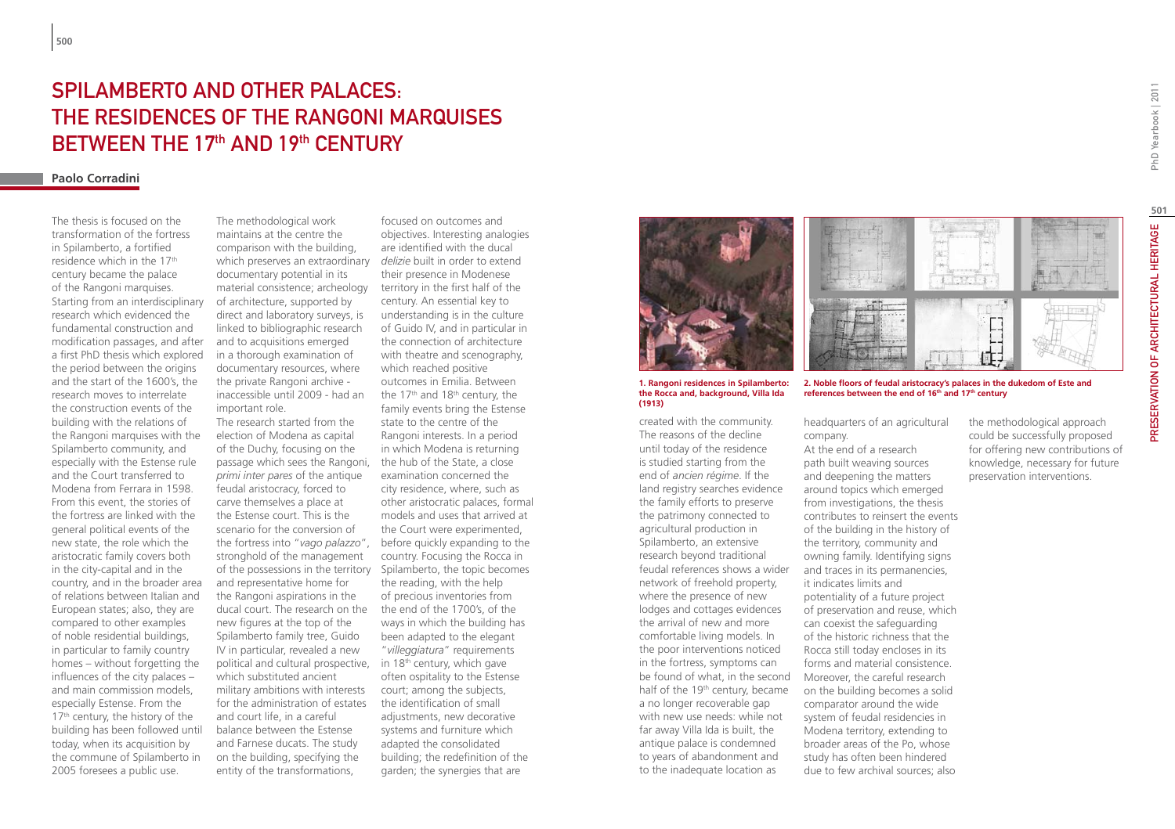# SPILAMBERTO AND OTHER PALACES. the residences of the Rangoni marquises between the 17th and 19th century

## **Paolo Corradini**

The thesis is focused on the transformation of the fortress in Spilamberto, a fortified residence which in the 17th century became the palace of the Rangoni marquises. Starting from an interdisciplinary research which evidenced the fundamental construction and modification passages, and after a first PhD thesis which explored the period between the origins and the start of the 1600's, the research moves to interrelate the construction events of the building with the relations of the Rangoni marquises with the Spilamberto community, and especially with the Estense rule and the Court transferred to Modena from Ferrara in 1598. From this event, the stories of the fortress are linked with the general political events of the new state, the role which the aristocratic family covers both in the city-capital and in the country, and in the broader area of relations between Italian and European states; also, they are compared to other examples of noble residential buildings, in particular to family country homes – without forgetting the influences of the city palaces – and main commission models, especially Estense. From the 17<sup>th</sup> century, the history of the building has been followed until today, when its acquisition by the commune of Spilamberto in 2005 foresees a public use.

The methodological work maintains at the centre the comparison with the building, which preserves an extraordinary *delizie* built in order to extend documentary potential in its material consistence; archeology of architecture, supported by direct and laboratory surveys, is linked to bibliographic research and to acquisitions emerged in a thorough examination of documentary resources, where the private Rangoni archive inaccessible until 2009 - had an

important role.

The research started from the election of Modena as capital of the Duchy, focusing on the passage which sees the Rangoni, *primi inter pares* of the antique feudal aristocracy, forced to carve themselves a place at the Estense court. This is the scenario for the conversion of the fortress into "*vago palazzo*", before quickly expanding to the stronghold of the management of the possessions in the territory Spilamberto, the topic becomes and representative home for the Rangoni aspirations in the ducal court. The research on the new figures at the top of the Spilamberto family tree, Guido IV in particular, revealed a new political and cultural prospective, in 18th century, which gave which substituted ancient military ambitions with interests for the administration of estates and court life, in a careful balance between the Estense and Farnese ducats. The study on the building, specifying the entity of the transformations,

focused on outcomes and objectives. Interesting analogies are identified with the ducal their presence in Modenese territory in the first half of the century. An essential key to understanding is in the culture of Guido IV, and in particular in the connection of architecture with theatre and scenography, which reached positive outcomes in Emilia. Between the 17<sup>th</sup> and 18<sup>th</sup> century, the family events bring the Estense state to the centre of the Rangoni interests. In a period in which Modena is returning the hub of the State, a close examination concerned the city residence, where, such as other aristocratic palaces, formal models and uses that arrived at the Court were experimented, country. Focusing the Rocca in the reading, with the help of precious inventories from the end of the 1700's, of the ways in which the building has been adapted to the elegant "*villeggiatura*" requirements often ospitality to the Estense court; among the subjects, the identification of small adjustments, new decorative systems and furniture which adapted the consolidated building; the redefinition of the garden; the synergies that are



**1. Rangoni residences in Spilamberto: the Rocca and, background, Villa Ida (1913)**

created with the community. The reasons of the decline until today of the residence is studied starting from the end of *ancien régime*. If the land registry searches evidence the family efforts to preserve the patrimony connected to agricultural production in Spilamberto, an extensive research beyond traditional feudal references shows a wider network of freehold property, where the presence of new lodges and cottages evidences the arrival of new and more comfortable living models. In the poor interventions noticed in the fortress, symptoms can be found of what, in the second Moreover, the careful research half of the 19th century, became a no longer recoverable gap with new use needs: while not far away Villa Ida is built, the antique palace is condemned to years of abandonment and to the inadequate location as



**2. Noble floors of feudal aristocracy's palaces in the dukedom of Este and references between the end of 16th and 17th century**

headquarters of an agricultural company.

At the end of a research path built weaving sources and deepening the matters around topics which emerged from investigations, the thesis contributes to reinsert the events of the building in the history of the territory, community and owning family. Identifying signs and traces in its permanencies, it indicates limits and potentiality of a future project of preservation and reuse, which can coexist the safeguarding of the historic richness that the Rocca still today encloses in its forms and material consistence. on the building becomes a solid comparator around the wide system of feudal residencies in Modena territory, extending to broader areas of the Po, whose study has often been hindered due to few archival sources; also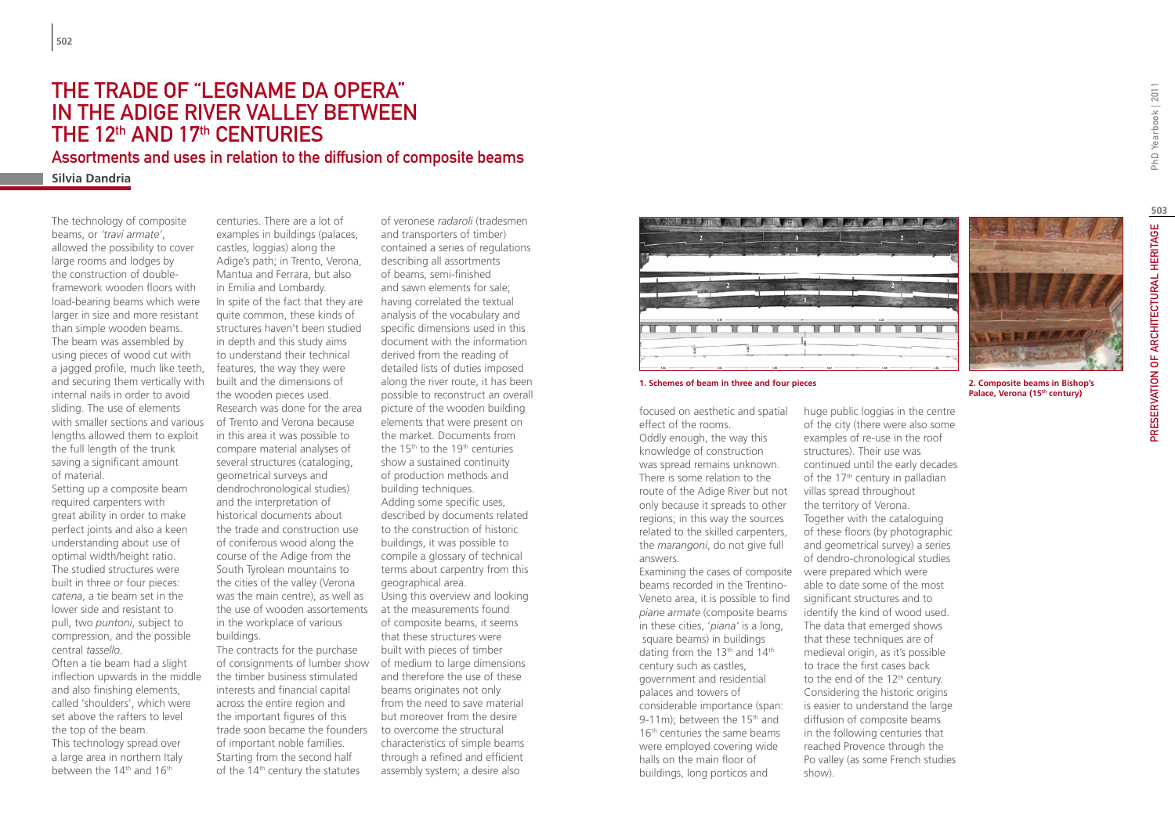## The trade of "legname da opera" IN THE ADIGE RIVER VALLEY BETWEEN THE 12<sup>th</sup> AND 17<sup>th</sup> CENTURIES

Assortments and uses in relation to the diffusion of composite beams

**Silvia Dandria**

The technology of composite beams, or *'travi armate'*, allowed the possibility to cover large rooms and lodges by the construction of doubleframework wooden floors with load-bearing beams which were larger in size and more resistant than simple wooden beams. The beam was assembled by using pieces of wood cut with a jagged profile, much like teeth, and securing them vertically with internal nails in order to avoid sliding. The use of elements with smaller sections and various lengths allowed them to exploit the full length of the trunk saving a significant amount of material.

Setting up a composite beam required carpenters with great ability in order to make perfect joints and also a keen understanding about use of optimal width/height ratio. The studied structures were built in three or four pieces: *catena*, a tie beam set in the lower side and resistant to pull, two *puntoni*, subject to compression, and the possible central *tassello*.

Often a tie beam had a slight inflection upwards in the middle and also finishing elements, called 'shoulders', which were set above the rafters to level the top of the beam. This technology spread over a large area in northern Italy between the 14<sup>th</sup> and 16<sup>th</sup>

centuries. There are a lot of examples in buildings (palaces, castles, loggias) along the Adige's path; in Trento, Verona, Mantua and Ferrara, but also in Emilia and Lombardy. In spite of the fact that they are quite common, these kinds of structures haven't been studied in depth and this study aims to understand their technical features, the way they were built and the dimensions of the wooden pieces used. Research was done for the area of Trento and Verona because in this area it was possible to compare material analyses of several structures (cataloging, geometrical surveys and dendrochronological studies) and the interpretation of historical documents about the trade and construction use of coniferous wood along the course of the Adige from the South Tyrolean mountains to the cities of the valley (Verona was the main centre), as well as the use of wooden assortements in the workplace of various buildings.

The contracts for the purchase of consignments of lumber show the timber business stimulated interests and financial capital across the entire region and the important figures of this trade soon became the founders of important noble families. Starting from the second half of the  $14<sup>th</sup>$  century the statutes

of veronese *radaroli* (tradesmen and transporters of timber) contained a series of regulations describing all assortments of beams, semi-finished and sawn elements for sale; having correlated the textual analysis of the vocabulary and specific dimensions used in this document with the information derived from the reading of detailed lists of duties imposed along the river route, it has been possible to reconstruct an overall picture of the wooden building elements that were present on the market. Documents from the 15<sup>th</sup> to the 19<sup>th</sup> centuries show a sustained continuity of production methods and building techniques. Adding some specific uses, described by documents related to the construction of historic buildings, it was possible to compile a glossary of technical terms about carpentry from this geographical area. Using this overview and looking at the measurements found of composite beams, it seems that these structures were built with pieces of timber of medium to large dimensions and therefore the use of these beams originates not only from the need to save material but moreover from the desire to overcome the structural characteristics of simple beams through a refined and efficient assembly system; a desire also



#### **1. Schemes of beam in three and four pieces 2. Composite beams in Bishop's**

focused on aesthetic and spatial effect of the rooms.

Oddly enough, the way this knowledge of construction was spread remains unknown. There is some relation to the route of the Adige River but not only because it spreads to other regions; in this way the sources related to the skilled carpenters, the *marangoni*, do not give full answers.

Examining the cases of composite beams recorded in the Trentino-Veneto area, it is possible to find *piane armate* (composite beams in these cities, '*piana'* is a long, square beams) in buildings dating from the 13<sup>th</sup> and 14<sup>th</sup> century such as castles, government and residential palaces and towers of considerable importance (span: 9-11m); between the 15<sup>th</sup> and 16<sup>th</sup> centuries the same beams were employed covering wide halls on the main floor of buildings, long porticos and

**Palace, Verona (15th century)**

huge public loggias in the centre of the city (there were also some examples of re-use in the roof structures). Their use was continued until the early decades of the 17<sup>th</sup> century in palladian villas spread throughout the territory of Verona. Together with the cataloguing of these floors (by photographic and geometrical survey) a series of dendro-chronological studies were prepared which were able to date some of the most significant structures and to identify the kind of wood used. The data that emerged shows that these techniques are of medieval origin, as it's possible to trace the first cases back to the end of the 12<sup>th</sup> century. Considering the historic origins is easier to understand the large diffusion of composite beams in the following centuries that reached Provence through the Po valley (as some French studies show).

**503**

PRESERVATION OF ARCHITECTURAL HERITAGE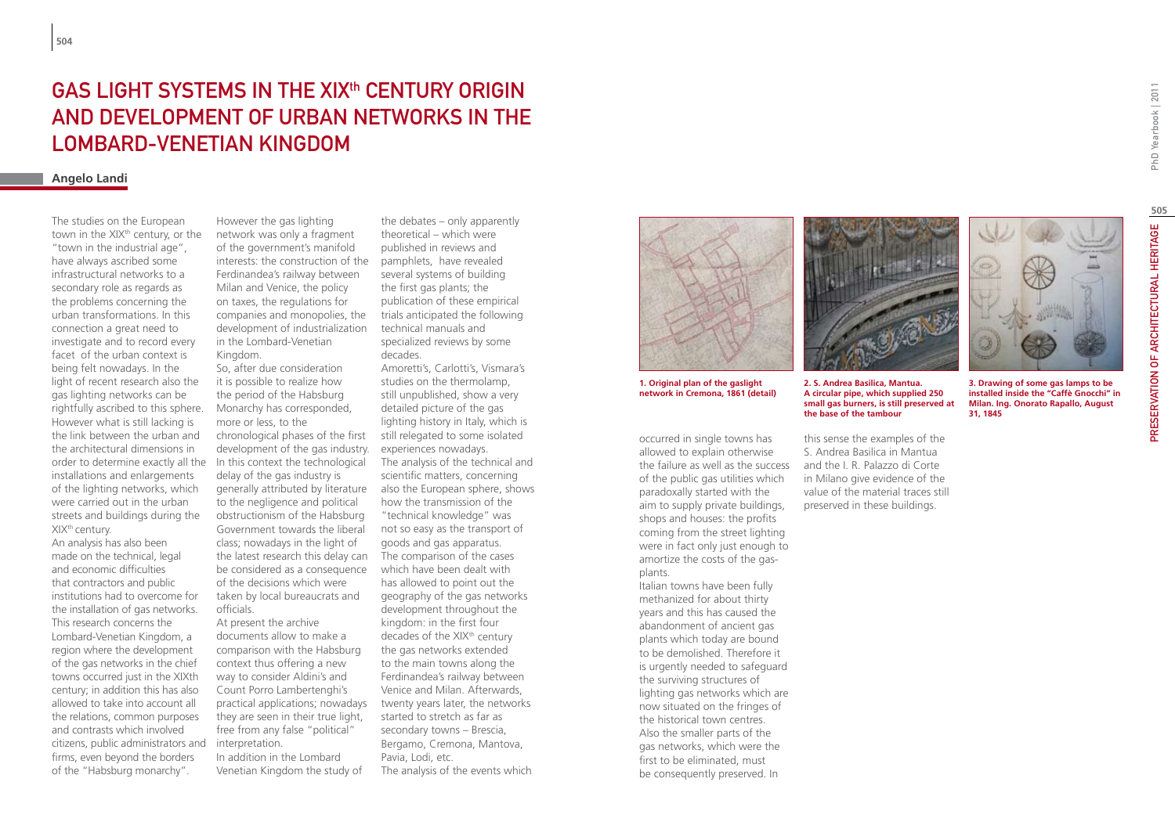# PhD Yearbook | 2011

# GAS LIGHT SYSTEMS IN THE XIX<sup>th</sup> CENTURY ORIGIN AND DEVELOPMENT OF URBAN NETWORKS IN THE LOMBARD-VENETIAN KINGDOM

## **Angelo Landi**

order to determine exactly all the In this context the technological The studies on the European town in the XIX<sup>th</sup> century, or the "town in the industrial age", have always ascribed some infrastructural networks to a secondary role as regards as the problems concerning the urban transformations. In this connection a great need to investigate and to record every facet of the urban context is being felt nowadays. In the light of recent research also the gas lighting networks can be rightfully ascribed to this sphere. However what is still lacking is the link between the urban and the architectural dimensions in installations and enlargements of the lighting networks, which were carried out in the urban streets and buildings during the XIXth century.

An analysis has also been made on the technical, legal and economic difficulties that contractors and public institutions had to overcome for the installation of gas networks. This research concerns the Lombard-Venetian Kingdom, a region where the development of the gas networks in the chief towns occurred just in the XIXth century; in addition this has also allowed to take into account all the relations, common purposes and contrasts which involved citizens, public administrators and firms, even beyond the borders of the "Habsburg monarchy".

However the gas lighting network was only a fragment of the government's manifold interests: the construction of the Ferdinandea's railway between Milan and Venice, the policy on taxes, the regulations for companies and monopolies, the development of industrialization in the Lombard-Venetian Kingdom.

So, after due consideration it is possible to realize how the period of the Habsburg Monarchy has corresponded, more or less, to the chronological phases of the first development of the gas industry. delay of the gas industry is generally attributed by literature to the negligence and political obstructionism of the Habsburg Government towards the liberal class; nowadays in the light of the latest research this delay can be considered as a consequence of the decisions which were taken by local bureaucrats and officials.

At present the archive documents allow to make a comparison with the Habsburg context thus offering a new way to consider Aldini's and Count Porro Lambertenghi's practical applications; nowadays they are seen in their true light, free from any false "political" interpretation.

In addition in the Lombard Venetian Kingdom the study of

the debates – only apparently theoretical – which were published in reviews and pamphlets, have revealed several systems of building the first gas plants; the publication of these empirical trials anticipated the following technical manuals and specialized reviews by some decades.

Amoretti's, Carlotti's, Vismara's studies on the thermolamp, still unpublished, show a very detailed picture of the gas lighting history in Italy, which is still relegated to some isolated experiences nowadays. The analysis of the technical and scientific matters, concerning also the European sphere, shows how the transmission of the "technical knowledge" was not so easy as the transport of goods and gas apparatus. The comparison of the cases which have been dealt with has allowed to point out the geography of the gas networks development throughout the kingdom: in the first four decades of the XIX<sup>th</sup> century the gas networks extended to the main towns along the Ferdinandea's railway between Venice and Milan. Afterwards, twenty years later, the networks started to stretch as far as secondary towns – Brescia, Bergamo, Cremona, Mantova, Pavia, Lodi, etc. The analysis of the events which



**1. Original plan of the gaslight network in Cremona, 1861 (detail)**

occurred in single towns has allowed to explain otherwise the failure as well as the success of the public gas utilities which paradoxally started with the aim to supply private buildings, shops and houses: the profits coming from the street lighting were in fact only just enough to amortize the costs of the gasplants.

Italian towns have been fully methanized for about thirty years and this has caused the abandonment of ancient gas plants which today are bound to be demolished. Therefore it is urgently needed to safeguard the surviving structures of lighting gas networks which are now situated on the fringes of the historical town centres. Also the smaller parts of the gas networks, which were the first to be eliminated, must be consequently preserved. In



**2. S. Andrea Basilica, Mantua. A circular pipe, which supplied 250 small gas burners, is still preserved at the base of the tambour**

this sense the examples of the S. Andrea Basilica in Mantua and the I. R. Palazzo di Corte in Milano give evidence of the value of the material traces still preserved in these buildings.



**3. Drawing of some gas lamps to be installed inside the "Caffè Gnocchi" in Milan. Ing. Onorato Rapallo, August 31, 1845**